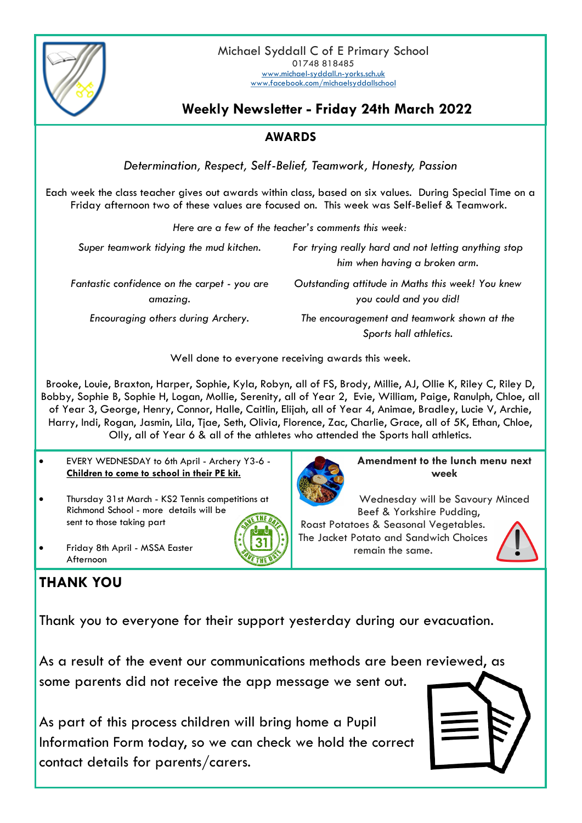

## **Weekly Newsletter - Friday 24th March 2022**

## **AWARDS**

*Determination, Respect, Self-Belief, Teamwork, Honesty, Passion*

Each week the class teacher gives out awards within class, based on six values. During Special Time on a Friday afternoon two of these values are focused on. This week was Self-Belief & Teamwork.

| Here are a few of the teacher's comments this week: |  |  |
|-----------------------------------------------------|--|--|
|-----------------------------------------------------|--|--|

*Super teamwork tidying the mud kitchen. For trying really hard and not letting anything stop him when having a broken arm. Fantastic confidence on the carpet - you are amazing. Outstanding attitude in Maths this week! You knew you could and you did! Encouraging others during Archery. The encouragement and teamwork shown at the Sports hall athletics.*

Well done to everyone receiving awards this week.

Brooke, Louie, Braxton, Harper, Sophie, Kyla, Robyn, all of FS, Brody, Millie, AJ, Ollie K, Riley C, Riley D, Bobby, Sophie B, Sophie H, Logan, Mollie, Serenity, all of Year 2, Evie, William, Paige, Ranulph, Chloe, all of Year 3, George, Henry, Connor, Halle, Caitlin, Elijah, all of Year 4, Animae, Bradley, Lucie V, Archie, Harry, Indi, Rogan, Jasmin, Lila, Tjae, Seth, Olivia, Florence, Zac, Charlie, Grace, all of 5K, Ethan, Chloe, Olly, all of Year 6 & all of the athletes who attended the Sports hall athletics.

- EVERY WEDNESDAY to 6th April Archery Y3-6 **Children to come to school in their PE kit.**
- Thursday 31st March KS2 Tennis competitions at Richmond School - more details will be sent to those taking part



## **THANK YOU**

Thank you to everyone for their support yesterday during our evacuation.

As a result of the event our communications methods are been reviewed, as some parents did not receive the app message we sent out.

As part of this process children will bring home a Pupil Information Form today, so we can check we hold the correct contact details for parents/carers.



**Amendment to the lunch menu next week**

Wednesday will be Savoury Minced Beef & Yorkshire Pudding,

Roast Potatoes & Seasonal Vegetables. The Jacket Potato and Sandwich Choices remain the same.